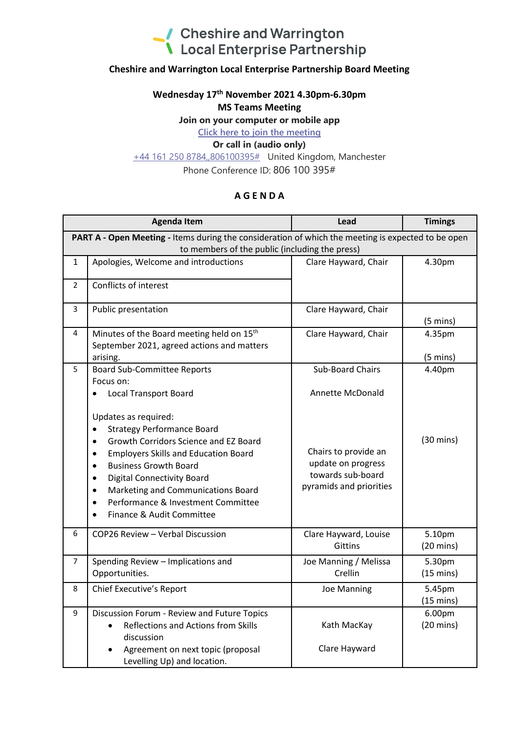

## **Cheshire and Warrington Local Enterprise Partnership Board Meeting**

#### **Wednesday 17 th November 2021 4.30pm-6.30pm**

#### **MS Teams Meeting**

**Join on your computer or mobile app**

**[Click here to join the meeting](https://teams.microsoft.com/l/meetup-join/19%3ameeting_MGUzMzFiODUtNTI0OC00MTNhLWJmNDItMWNiMTU0NzFjYTE1%40thread.v2/0?context=%7b%22Tid%22%3a%229fdc30f0-07e8-4ece-96e4-5daef8d479d1%22%2c%22Oid%22%3a%226c5251ba-0d3a-40c0-b933-9dcb03aa1bd1%22%7d)**

## **Or call in (audio only)**

[+44 161 250 8784,,806100395#](tel:+441612508784,,806100395# ) United Kingdom, Manchester

Phone Conference ID: 806 100 395#

## **A G E N D A**

|                                                                                                    | <b>Agenda Item</b>                                                                                                                                                                                                                                                                                                                                                                                                         | Lead                                                                                       | <b>Timings</b>                |  |
|----------------------------------------------------------------------------------------------------|----------------------------------------------------------------------------------------------------------------------------------------------------------------------------------------------------------------------------------------------------------------------------------------------------------------------------------------------------------------------------------------------------------------------------|--------------------------------------------------------------------------------------------|-------------------------------|--|
| PART A - Open Meeting - Items during the consideration of which the meeting is expected to be open |                                                                                                                                                                                                                                                                                                                                                                                                                            |                                                                                            |                               |  |
| to members of the public (including the press)                                                     |                                                                                                                                                                                                                                                                                                                                                                                                                            |                                                                                            |                               |  |
| $\mathbf{1}$                                                                                       | Apologies, Welcome and introductions                                                                                                                                                                                                                                                                                                                                                                                       | Clare Hayward, Chair                                                                       | 4.30pm                        |  |
| $\overline{2}$                                                                                     | Conflicts of interest                                                                                                                                                                                                                                                                                                                                                                                                      |                                                                                            |                               |  |
| 3                                                                                                  | Public presentation                                                                                                                                                                                                                                                                                                                                                                                                        | Clare Hayward, Chair                                                                       | $(5 \text{ mins})$            |  |
| 4                                                                                                  | Minutes of the Board meeting held on 15 <sup>th</sup>                                                                                                                                                                                                                                                                                                                                                                      | Clare Hayward, Chair                                                                       | 4.35pm                        |  |
|                                                                                                    | September 2021, agreed actions and matters                                                                                                                                                                                                                                                                                                                                                                                 |                                                                                            |                               |  |
|                                                                                                    | arising.                                                                                                                                                                                                                                                                                                                                                                                                                   |                                                                                            | $(5 \text{ mins})$            |  |
| 5                                                                                                  | <b>Board Sub-Committee Reports</b>                                                                                                                                                                                                                                                                                                                                                                                         | <b>Sub-Board Chairs</b>                                                                    | 4.40pm                        |  |
|                                                                                                    | Focus on:                                                                                                                                                                                                                                                                                                                                                                                                                  |                                                                                            |                               |  |
|                                                                                                    | <b>Local Transport Board</b><br>$\bullet$                                                                                                                                                                                                                                                                                                                                                                                  | Annette McDonald                                                                           |                               |  |
|                                                                                                    | Updates as required:<br><b>Strategy Performance Board</b><br>$\bullet$<br>Growth Corridors Science and EZ Board<br>$\bullet$<br><b>Employers Skills and Education Board</b><br>$\bullet$<br><b>Business Growth Board</b><br>$\bullet$<br><b>Digital Connectivity Board</b><br>$\bullet$<br>Marketing and Communications Board<br>$\bullet$<br>Performance & Investment Committee<br>$\bullet$<br>Finance & Audit Committee | Chairs to provide an<br>update on progress<br>towards sub-board<br>pyramids and priorities | $(30 \text{ mins})$           |  |
| 6                                                                                                  | COP26 Review - Verbal Discussion                                                                                                                                                                                                                                                                                                                                                                                           | Clare Hayward, Louise<br><b>Gittins</b>                                                    | 5.10pm<br>$(20 \text{ mins})$ |  |
| $\overline{7}$                                                                                     | Spending Review - Implications and<br>Opportunities.                                                                                                                                                                                                                                                                                                                                                                       | Joe Manning / Melissa<br>Crellin                                                           | 5.30pm<br>$(15 \text{ mins})$ |  |
| 8                                                                                                  | <b>Chief Executive's Report</b>                                                                                                                                                                                                                                                                                                                                                                                            | <b>Joe Manning</b>                                                                         | 5.45pm<br>$(15 \text{ mins})$ |  |
| 9                                                                                                  | Discussion Forum - Review and Future Topics<br>Reflections and Actions from Skills<br>discussion                                                                                                                                                                                                                                                                                                                           | Kath MacKay                                                                                | 6.00pm<br>$(20 \text{ mins})$ |  |
|                                                                                                    | Agreement on next topic (proposal<br>Levelling Up) and location.                                                                                                                                                                                                                                                                                                                                                           | Clare Hayward                                                                              |                               |  |